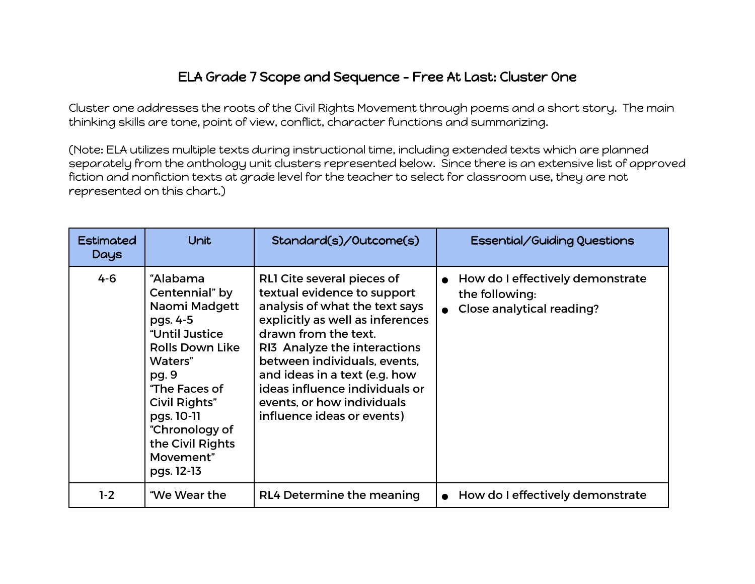## ELA Grade 7 Scope and Sequence - Free At Last: Cluster One

Cluster one addresses the roots of the Civil Rights Movement through poems and a short story. The main thinking skills are tone, point of view, conflict, character functions and summarizing.

(Note: ELA utilizes multiple texts during instructional time, including extended texts which are planned separately from the anthology unit clusters represented below. Since there is an extensive list of approved fiction and nonfiction texts at grade level for the teacher to select for classroom use, they are not represented on this chart.)

| Estimated<br><b>Days</b> | Unit                                                                                                                                                                                                                                     | Standard(s)/Outcome(s)                                                                                                                                                                                                                                                                                                                                 | Essential/Guiding Questions                                                                  |
|--------------------------|------------------------------------------------------------------------------------------------------------------------------------------------------------------------------------------------------------------------------------------|--------------------------------------------------------------------------------------------------------------------------------------------------------------------------------------------------------------------------------------------------------------------------------------------------------------------------------------------------------|----------------------------------------------------------------------------------------------|
| $4 - 6$                  | "Alabama<br>Centennial" by<br>Naomi Madgett<br>pgs. 4-5<br>"Until Justice<br><b>Rolls Down Like</b><br>Waters"<br>pg. 9<br>"The Faces of<br>Civil Rights"<br>pgs. 10-11<br>"Chronology of<br>the Civil Rights<br>Movement"<br>pgs. 12-13 | RLI Cite several pieces of<br>textual evidence to support<br>analysis of what the text says<br>explicitly as well as inferences<br>drawn from the text.<br>RI3 Analyze the interactions<br>between individuals, events,<br>and ideas in a text (e.g. how<br>ideas influence individuals or<br>events, or how individuals<br>influence ideas or events) | How do I effectively demonstrate<br>$\bullet$<br>the following:<br>Close analytical reading? |
| $1-2$                    | "We Wear the                                                                                                                                                                                                                             | RL4 Determine the meaning                                                                                                                                                                                                                                                                                                                              | How do I effectively demonstrate                                                             |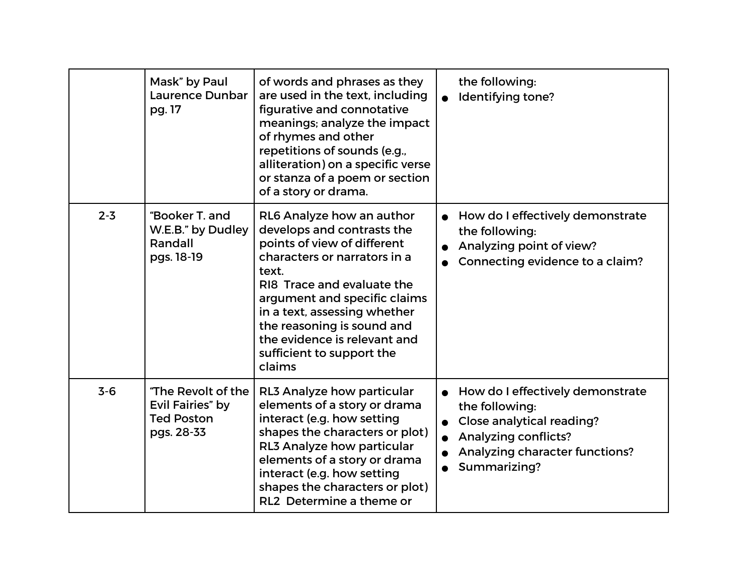|         | Mask" by Paul<br><b>Laurence Dunbar</b><br>pg. 17                         | of words and phrases as they<br>are used in the text, including<br>figurative and connotative<br>meanings; analyze the impact<br>of rhymes and other<br>repetitions of sounds (e.g.,<br>alliteration) on a specific verse<br>or stanza of a poem or section<br>of a story or drama.                                                | the following:<br>Identifying tone?                                                                                                                                       |
|---------|---------------------------------------------------------------------------|------------------------------------------------------------------------------------------------------------------------------------------------------------------------------------------------------------------------------------------------------------------------------------------------------------------------------------|---------------------------------------------------------------------------------------------------------------------------------------------------------------------------|
| $2 - 3$ | "Booker T. and<br>W.E.B." by Dudley<br>Randall<br>pgs. 18-19              | RL6 Analyze how an author<br>develops and contrasts the<br>points of view of different<br>characters or narrators in a<br>text.<br>RI8 Trace and evaluate the<br>argument and specific claims<br>in a text, assessing whether<br>the reasoning is sound and<br>the evidence is relevant and<br>sufficient to support the<br>claims | How do I effectively demonstrate<br>the following:<br>Analyzing point of view?<br>Connecting evidence to a claim?                                                         |
| $3 - 6$ | "The Revolt of the<br>Evil Fairies" by<br><b>Ted Poston</b><br>pgs. 28-33 | RL3 Analyze how particular<br>elements of a story or drama<br>interact (e.g. how setting<br>shapes the characters or plot)<br>RL3 Analyze how particular<br>elements of a story or drama<br>interact (e.g. how setting<br>shapes the characters or plot)<br>RL2 Determine a theme or                                               | • How do I effectively demonstrate<br>the following:<br><b>Close analytical reading?</b><br><b>Analyzing conflicts?</b><br>Analyzing character functions?<br>Summarizing? |